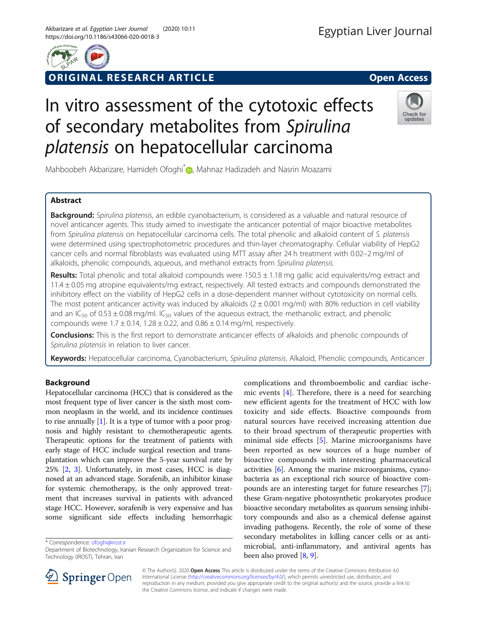

# ORIGINAL RESEARCH ARTICLE **External of the Contract Open Access**

# In vitro assessment of the cytotoxic effects of secondary metabolites from Spirulina platensis on hepatocellular carcinoma



Mahboobeh Akbarizare[,](http://orcid.org/0000-0003-2163-2448) Hamideh Ofoghi<sup>\*</sup> , Mahnaz Hadizadeh and Nasrin Moazami

# Abstract

Background: Spirulina platensis, an edible cyanobacterium, is considered as a valuable and natural resource of novel anticancer agents. This study aimed to investigate the anticancer potential of major bioactive metabolites from Spirulina platensis on hepatocellular carcinoma cells. The total phenolic and alkaloid content of S. platensis were determined using spectrophotometric procedures and thin-layer chromatography. Cellular viability of HepG2 cancer cells and normal fibroblasts was evaluated using MTT assay after 24 h treatment with 0.02–2 mg/ml of alkaloids, phenolic compounds, aqueous, and methanol extracts from Spirulina platensis.

Results: Total phenolic and total alkaloid compounds were  $150.5 \pm 1.18$  mg gallic acid equivalents/mg extract and 11.4 ± 0.05 mg atropine equivalents/mg extract, respectively. All tested extracts and compounds demonstrated the inhibitory effect on the viability of HepG2 cells in a dose-dependent manner without cytotoxicity on normal cells. The most potent anticancer activity was induced by alkaloids  $(2 \pm 0.001 \text{ mg/ml})$  with 80% reduction in cell viability and an IC<sub>50</sub> of 0.53  $\pm$  0.08 mg/ml. IC<sub>50</sub> values of the aqueous extract, the methanolic extract, and phenolic compounds were  $1.7 \pm 0.14$ ,  $1.28 \pm 0.22$ , and  $0.86 \pm 0.14$  mg/ml, respectively.

Conclusions: This is the first report to demonstrate anticancer effects of alkaloids and phenolic compounds of Spirulina platensis in relation to liver cancer.

Keywords: Hepatocellular carcinoma, Cyanobacterium, Spirulina platensis, Alkaloid, Phenolic compounds, Anticancer

# Background

Hepatocellular carcinoma (HCC) that is considered as the most frequent type of liver cancer is the sixth most common neoplasm in the world, and its incidence continues to rise annually  $[1]$ . It is a type of tumor with a poor prognosis and highly resistant to chemotherapeutic agents. Therapeutic options for the treatment of patients with early stage of HCC include surgical resection and transplantation which can improve the 5-year survival rate by 25% [[2,](#page-6-0) [3](#page-6-0)]. Unfortunately, in most cases, HCC is diagnosed at an advanced stage. Sorafenib, an inhibitor kinase for systemic chemotherapy, is the only approved treatment that increases survival in patients with advanced stage HCC. However, sorafenib is very expensive and has some significant side effects including hemorrhagic

\* Correspondence: [ofoghi@irost.ir](mailto:ofoghi@irost.ir)

complications and thromboembolic and cardiac ischemic events [[4\]](#page-6-0). Therefore, there is a need for searching new efficient agents for the treatment of HCC with low toxicity and side effects. Bioactive compounds from natural sources have received increasing attention due to their broad spectrum of therapeutic properties with minimal side effects [[5\]](#page-6-0). Marine microorganisms have been reported as new sources of a huge number of bioactive compounds with interesting pharmaceutical activities [\[6\]](#page-6-0). Among the marine microorganisms, cyanobacteria as an exceptional rich source of bioactive compounds are an interesting target for future researches [[7](#page-6-0)]; these Gram-negative photosynthetic prokaryotes produce bioactive secondary metabolites as quorum sensing inhibitory compounds and also as a chemical defense against invading pathogens. Recently, the role of some of these secondary metabolites in killing cancer cells or as antimicrobial, anti-inflammatory, and antiviral agents has been also proved [[8,](#page-6-0) [9](#page-6-0)].



© The Author(s). 2020 Open Access This article is distributed under the terms of the Creative Commons Attribution 4.0 International License ([http://creativecommons.org/licenses/by/4.0/\)](http://creativecommons.org/licenses/by/4.0/), which permits unrestricted use, distribution, and reproduction in any medium, provided you give appropriate credit to the original author(s) and the source, provide a link to the Creative Commons license, and indicate if changes were made.

Department of Biotechnology, Iranian Research Organization for Science and Technology (IROST), Tehran, Iran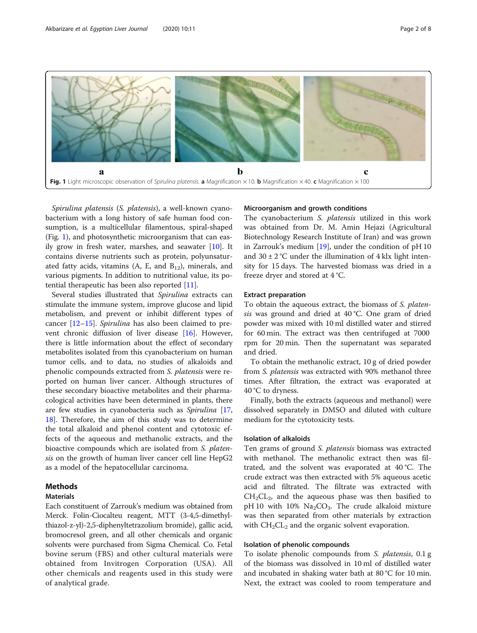<span id="page-1-0"></span>

Spirulina platensis (S. platensis), a well-known cyanobacterium with a long history of safe human food consumption, is a multicellular filamentous, spiral-shaped (Fig. 1), and photosynthetic microorganism that can easily grow in fresh water, marshes, and seawater [\[10](#page-6-0)]. It contains diverse nutrients such as protein, polyunsaturated fatty acids, vitamins (A, E, and  $B_{12}$ ), minerals, and various pigments. In addition to nutritional value, its potential therapeutic has been also reported [[11\]](#page-6-0).

Several studies illustrated that Spirulina extracts can stimulate the immune system, improve glucose and lipid metabolism, and prevent or inhibit different types of cancer [\[12](#page-6-0)–[15\]](#page-6-0). Spirulina has also been claimed to prevent chronic diffusion of liver disease [\[16](#page-6-0)]. However, there is little information about the effect of secondary metabolites isolated from this cyanobacterium on human tumor cells, and to data, no studies of alkaloids and phenolic compounds extracted from S. platensis were reported on human liver cancer. Although structures of these secondary bioactive metabolites and their pharmacological activities have been determined in plants, there are few studies in cyanobacteria such as Spirulina [[17](#page-6-0), [18\]](#page-6-0). Therefore, the aim of this study was to determine the total alkaloid and phenol content and cytotoxic effects of the aqueous and methanolic extracts, and the bioactive compounds which are isolated from S. platensis on the growth of human liver cancer cell line HepG2 as a model of the hepatocellular carcinoma.

### **Methods**

## Materials

Each constituent of Zarrouk's medium was obtained from Merck. Folin-Ciocalteu reagent, MTT (3-4,5-dimethylthiazol-z-yl)-2,5-diphenyltetrazolium bromide), gallic acid, bromocresol green, and all other chemicals and organic solvents were purchased from Sigma Chemical. Co. Fetal bovine serum (FBS) and other cultural materials were obtained from Invitrogen Corporation (USA). All other chemicals and reagents used in this study were of analytical grade.

#### Microorganism and growth conditions

The cyanobacterium S. platensis utilized in this work was obtained from Dr. M. Amin Hejazi (Agricultural Biotechnology Research Institute of Iran) and was grown in Zarrouk's medium [[19](#page-6-0)], under the condition of pH 10 and  $30 \pm 2$  °C under the illumination of 4 klx light intensity for 15 days. The harvested biomass was dried in a freeze dryer and stored at 4 °C.

#### Extract preparation

To obtain the aqueous extract, the biomass of S. platensis was ground and dried at 40 °C. One gram of dried powder was mixed with 10 ml distilled water and stirred for 60 min. The extract was then centrifuged at 7000 rpm for 20 min. Then the supernatant was separated and dried.

To obtain the methanolic extract, 10 g of dried powder from S. platensis was extracted with 90% methanol three times. After filtration, the extract was evaporated at 40 °C to dryness.

Finally, both the extracts (aqueous and methanol) were dissolved separately in DMSO and diluted with culture medium for the cytotoxicity tests.

#### Isolation of alkaloids

Ten grams of ground S. platensis biomass was extracted with methanol. The methanolic extract then was filtrated, and the solvent was evaporated at 40 °C. The crude extract was then extracted with 5% aqueous acetic acid and filtrated. The filtrate was extracted with  $CH<sub>2</sub>CL<sub>2</sub>$ , and the aqueous phase was then basified to pH 10 with 10%  $\text{Na}_2\text{CO}_3$ . The crude alkaloid mixture was then separated from other materials by extraction with  $CH<sub>2</sub>CL<sub>2</sub>$  and the organic solvent evaporation.

#### Isolation of phenolic compounds

To isolate phenolic compounds from *S. platensis*, 0.1 g of the biomass was dissolved in 10 ml of distilled water and incubated in shaking water bath at 80 °C for 10 min. Next, the extract was cooled to room temperature and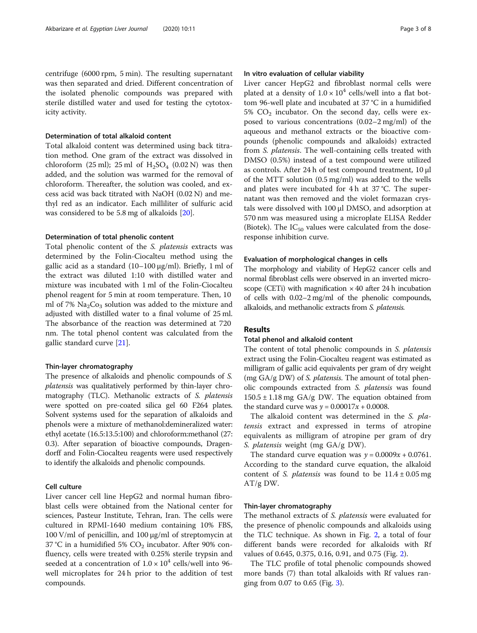centrifuge (6000 rpm, 5 min). The resulting supernatant was then separated and dried. Different concentration of the isolated phenolic compounds was prepared with sterile distilled water and used for testing the cytotoxicity activity.

#### Determination of total alkaloid content

Total alkaloid content was determined using back titration method. One gram of the extract was dissolved in chloroform (25 ml); 25 ml of  $H_2SO_4$  (0.02 N) was then added, and the solution was warmed for the removal of chloroform. Thereafter, the solution was cooled, and excess acid was back titrated with NaOH (0.02 N) and methyl red as an indicator. Each milliliter of sulfuric acid was considered to be 5.8 mg of alkaloids [[20](#page-6-0)].

#### Determination of total phenolic content

Total phenolic content of the S. platensis extracts was determined by the Folin-Ciocalteu method using the gallic acid as a standard (10–100 μg/ml). Briefly, 1 ml of the extract was diluted 1:10 with distilled water and mixture was incubated with 1 ml of the Folin-Ciocalteu phenol reagent for 5 min at room temperature. Then, 10 ml of 7%  $Na<sub>2</sub>Co<sub>3</sub>$  solution was added to the mixture and adjusted with distilled water to a final volume of 25 ml. The absorbance of the reaction was determined at 720 nm. The total phenol content was calculated from the gallic standard curve [\[21](#page-6-0)].

#### Thin-layer chromatography

The presence of alkaloids and phenolic compounds of S. platensis was qualitatively performed by thin-layer chromatography (TLC). Methanolic extracts of S. platensis were spotted on pre-coated silica gel 60 F264 plates. Solvent systems used for the separation of alkaloids and phenols were a mixture of methanol:demineralized water: ethyl acetate (16.5:13.5:100) and chloroform:methanol (27: 0.3). After separation of bioactive compounds, Dragendorff and Folin-Ciocalteu reagents were used respectively to identify the alkaloids and phenolic compounds.

#### Cell culture

Liver cancer cell line HepG2 and normal human fibroblast cells were obtained from the National center for sciences, Pasteur Institute, Tehran, Iran. The cells were cultured in RPMI-1640 medium containing 10% FBS, 100 V/ml of penicillin, and 100 μg/ml of streptomycin at 37 °C in a humidified 5%  $CO<sub>2</sub>$  incubator. After 90% confluency, cells were treated with 0.25% sterile trypsin and seeded at a concentration of  $1.0 \times 10^4$  cells/well into 96well microplates for 24 h prior to the addition of test compounds.

## In vitro evaluation of cellular viability

Liver cancer HepG2 and fibroblast normal cells were plated at a density of  $1.0 \times 10^4$  cells/well into a flat bottom 96-well plate and incubated at 37 °C in a humidified  $5\%$  CO<sub>2</sub> incubator. On the second day, cells were exposed to various concentrations (0.02–2 mg/ml) of the aqueous and methanol extracts or the bioactive compounds (phenolic compounds and alkaloids) extracted from S. platensis. The well-containing cells treated with DMSO (0.5%) instead of a test compound were utilized as controls. After 24 h of test compound treatment, 10 μl of the MTT solution (0.5 mg/ml) was added to the wells and plates were incubated for 4 h at 37 °C. The supernatant was then removed and the violet formazan crystals were dissolved with 100 μl DMSO, and adsorption at 570 nm was measured using a microplate ELISA Redder (Biotek). The  $IC_{50}$  values were calculated from the doseresponse inhibition curve.

#### Evaluation of morphological changes in cells

The morphology and viability of HepG2 cancer cells and normal fibroblast cells were observed in an inverted microscope (CETi) with magnification  $\times$  40 after 24 h incubation of cells with 0.02–2 mg/ml of the phenolic compounds, alkaloids, and methanolic extracts from S. platensis.

#### Results

#### Total phenol and alkaloid content

The content of total phenolic compounds in S. platensis extract using the Folin-Ciocalteu reagent was estimated as milligram of gallic acid equivalents per gram of dry weight (mg GA/g DW) of *S. platensis*. The amount of total phenolic compounds extracted from S. platensis was found  $150.5 \pm 1.18$  mg GA/g DW. The equation obtained from the standard curve was  $y = 0.00017x + 0.0008$ .

The alkaloid content was determined in the S. platensis extract and expressed in terms of atropine equivalents as milligram of atropine per gram of dry S. platensis weight (mg GA/g DW).

The standard curve equation was  $y = 0.0009x + 0.0761$ . According to the standard curve equation, the alkaloid content of S. *platensis* was found to be  $11.4 \pm 0.05$  mg AT/g DW.

### Thin-layer chromatography

The methanol extracts of *S. platensis* were evaluated for the presence of phenolic compounds and alkaloids using the TLC technique. As shown in Fig. [2](#page-3-0), a total of four different bands were recorded for alkaloids with Rf values of 0.645, 0.375, 0.16, 0.91, and 0.75 (Fig. [2\)](#page-3-0).

The TLC profile of total phenolic compounds showed more bands (7) than total alkaloids with Rf values ranging from 0.07 to 0.65 (Fig. [3](#page-3-0)).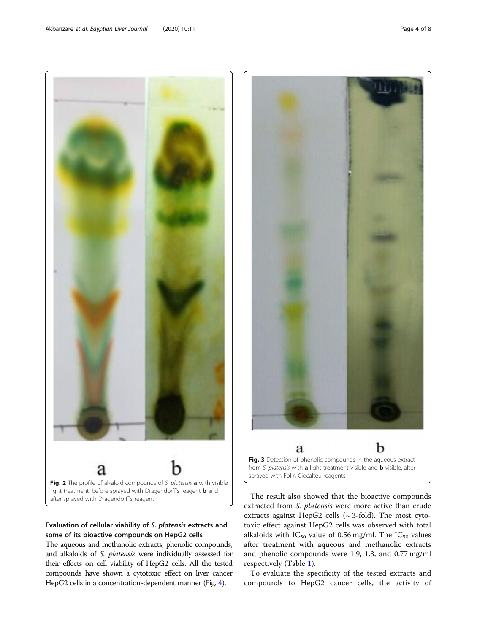after sprayed with Dragendorff's reagent

## Evaluation of cellular viability of S. platensis extracts and some of its bioactive compounds on HepG2 cells

The aqueous and methanolic extracts, phenolic compounds, and alkaloids of S. platensis were individually assessed for their effects on cell viability of HepG2 cells. All the tested compounds have shown a cytotoxic effect on liver cancer HepG2 cells in a concentration-dependent manner (Fig. [4](#page-4-0)).

respectively (Table [1](#page-4-0)). To evaluate the specificity of the tested extracts and

 $\mathbf b$ a

Fig. 3 Detection of phenolic compounds in the aqueous extract from S. platensis with a light treatment visible and **b** visible, after sprayed with Folin-Ciocalteu reagents

The result also showed that the bioactive compounds extracted from S. platensis were more active than crude extracts against HepG2 cells  $({\sim}$  3-fold). The most cytotoxic effect against HepG2 cells was observed with total alkaloids with  $IC_{50}$  value of 0.56 mg/ml. The  $IC_{50}$  values after treatment with aqueous and methanolic extracts and phenolic compounds were 1.9, 1.3, and 0.77 mg/ml

compounds to HepG2 cancer cells, the activity of

<span id="page-3-0"></span>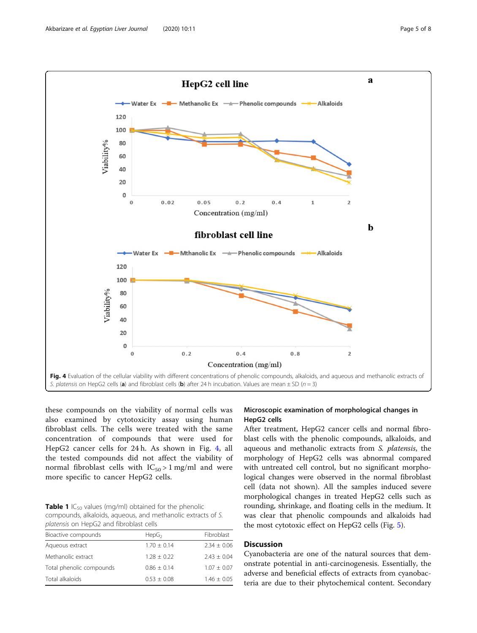<span id="page-4-0"></span>

these compounds on the viability of normal cells was also examined by cytotoxicity assay using human fibroblast cells. The cells were treated with the same concentration of compounds that were used for HepG2 cancer cells for 24 h. As shown in Fig. 4, all the tested compounds did not affect the viability of normal fibroblast cells with  $IC_{50} > 1$  mg/ml and were more specific to cancer HepG2 cells.

**Table 1** IC<sub>50</sub> values (mg/ml) obtained for the phenolic compounds, alkaloids, aqueous, and methanolic extracts of S. platensis on HepG2 and fibroblast cells

| Bioactive compounds<br>HepG <sub>2</sub>  | Fibroblast    |
|-------------------------------------------|---------------|
| $1.70 + 0.14$<br>Aqueous extract          | $2.34 + 0.06$ |
| Methanolic extract<br>$1.28 + 0.22$       | $7.43 + 0.04$ |
| Total phenolic compounds<br>$0.86 + 0.14$ | $1.07 + 0.07$ |
| Total alkaloids<br>$0.53 + 0.08$          | $1.46 + 0.05$ |

## Microscopic examination of morphological changes in HepG2 cells

After treatment, HepG2 cancer cells and normal fibroblast cells with the phenolic compounds, alkaloids, and aqueous and methanolic extracts from S. platensis, the morphology of HepG2 cells was abnormal compared with untreated cell control, but no significant morphological changes were observed in the normal fibroblast cell (data not shown). All the samples induced severe morphological changes in treated HepG2 cells such as rounding, shrinkage, and floating cells in the medium. It was clear that phenolic compounds and alkaloids had the most cytotoxic effect on HepG2 cells (Fig. [5\)](#page-5-0).

## **Discussion**

Cyanobacteria are one of the natural sources that demonstrate potential in anti-carcinogenesis. Essentially, the adverse and beneficial effects of extracts from cyanobacteria are due to their phytochemical content. Secondary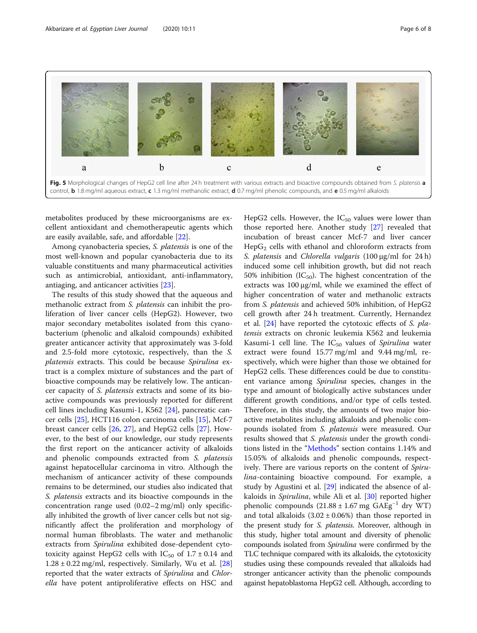<span id="page-5-0"></span>

metabolites produced by these microorganisms are excellent antioxidant and chemotherapeutic agents which are easily available, safe, and affordable [\[22](#page-6-0)].

Among cyanobacteria species, S. platensis is one of the most well-known and popular cyanobacteria due to its valuable constituents and many pharmaceutical activities such as antimicrobial, antioxidant, anti-inflammatory, antiaging, and anticancer activities [[23\]](#page-6-0).

The results of this study showed that the aqueous and methanolic extract from S. platensis can inhibit the proliferation of liver cancer cells (HepG2). However, two major secondary metabolites isolated from this cyanobacterium (phenolic and alkaloid compounds) exhibited greater anticancer activity that approximately was 3-fold and 2.5-fold more cytotoxic, respectively, than the S. platensis extracts. This could be because Spirulina extract is a complex mixture of substances and the part of bioactive compounds may be relatively low. The anticancer capacity of S. platensis extracts and some of its bioactive compounds was previously reported for different cell lines including Kasumi-1, K562 [\[24](#page-7-0)], pancreatic cancer cells [\[25\]](#page-7-0), HCT116 colon carcinoma cells [[15](#page-6-0)], Mcf-7 breast cancer cells [\[26,](#page-7-0) [27](#page-7-0)], and HepG2 cells [[27\]](#page-7-0). However, to the best of our knowledge, our study represents the first report on the anticancer activity of alkaloids and phenolic compounds extracted from S. platensis against hepatocellular carcinoma in vitro. Although the mechanism of anticancer activity of these compounds remains to be determined, our studies also indicated that S. platensis extracts and its bioactive compounds in the concentration range used (0.02–2 mg/ml) only specifically inhibited the growth of liver cancer cells but not significantly affect the proliferation and morphology of normal human fibroblasts. The water and methanolic extracts from Spirulina exhibited dose-dependent cytotoxicity against HepG2 cells with  $IC_{50}$  of  $1.7 \pm 0.14$  and  $1.28 \pm 0.22$  $1.28 \pm 0.22$  $1.28 \pm 0.22$  mg/ml, respectively. Similarly, Wu et al. [28] reported that the water extracts of Spirulina and Chlorella have potent antiproliferative effects on HSC and

HepG2 cells. However, the  $IC_{50}$  values were lower than those reported here. Another study [[27\]](#page-7-0) revealed that incubation of breast cancer Mcf-7 and liver cancer Hep $G_2$  cells with ethanol and chloroform extracts from S. platensis and Chlorella vulgaris (100 <sup>μ</sup>g/ml for 24 h) induced some cell inhibition growth, but did not reach 50% inhibition ( $IC_{50}$ ). The highest concentration of the extracts was 100 μg/ml, while we examined the effect of higher concentration of water and methanolic extracts from S. platensis and achieved 50% inhibition, of HepG2 cell growth after 24 h treatment. Currently, Hernandez et al. [[24](#page-7-0)] have reported the cytotoxic effects of S. platensis extracts on chronic leukemia K562 and leukemia Kasumi-1 cell line. The  $IC_{50}$  values of Spirulina water extract were found 15.77 mg/ml and 9.44 mg/ml, respectively, which were higher than those we obtained for HepG2 cells. These differences could be due to constituent variance among Spirulina species, changes in the type and amount of biologically active substances under different growth conditions, and/or type of cells tested. Therefore, in this study, the amounts of two major bioactive metabolites including alkaloids and phenolic compounds isolated from S. platensis were measured. Our results showed that *S. platensis* under the growth conditions listed in the "[Methods](#page-1-0)" section contains 1.14% and 15.05% of alkaloids and phenolic compounds, respectively. There are various reports on the content of Spirulina-containing bioactive compound. For example, a study by Agustini et al. [[29](#page-7-0)] indicated the absence of alkaloids in Spirulina, while Ali et al. [\[30\]](#page-7-0) reported higher phenolic compounds  $(21.88 \pm 1.67 \text{ mg } \text{GAEg}^{-1} \text{ dry WT})$ and total alkaloids  $(3.02 \pm 0.06%)$  than those reported in the present study for S. platensis. Moreover, although in this study, higher total amount and diversity of phenolic compounds isolated from Spirulina were confirmed by the TLC technique compared with its alkaloids, the cytotoxicity studies using these compounds revealed that alkaloids had stronger anticancer activity than the phenolic compounds against hepatoblastoma HepG2 cell. Although, according to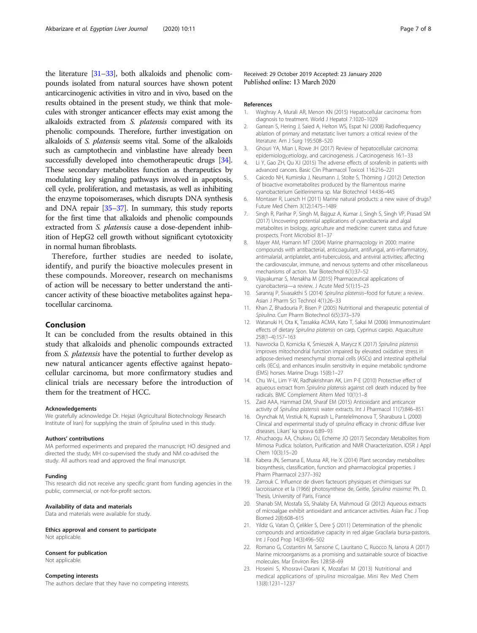<span id="page-6-0"></span>the literature [\[31](#page-7-0)–[33\]](#page-7-0), both alkaloids and phenolic compounds isolated from natural sources have shown potent anticarcinogenic activities in vitro and in vivo, based on the results obtained in the present study, we think that molecules with stronger anticancer effects may exist among the alkaloids extracted from S. platensis compared with its phenolic compounds. Therefore, further investigation on alkaloids of S. platensis seems vital. Some of the alkaloids such as camptothecin and vinblastine have already been successfully developed into chemotherapeutic drugs [\[34](#page-7-0)]. These secondary metabolites function as therapeutics by modulating key signaling pathways involved in apoptosis, cell cycle, proliferation, and metastasis, as well as inhibiting the enzyme topoisomerases, which disrupts DNA synthesis and DNA repair [\[35](#page-7-0)–[37\]](#page-7-0). In summary, this study reports for the first time that alkaloids and phenolic compounds extracted from *S. platensis* cause a dose-dependent inhibition of HepG2 cell growth without significant cytotoxicity in normal human fibroblasts.

Therefore, further studies are needed to isolate, identify, and purify the bioactive molecules present in these compounds. Moreover, research on mechanisms of action will be necessary to better understand the anticancer activity of these bioactive metabolites against hepatocellular carcinoma.

#### Conclusion

It can be concluded from the results obtained in this study that alkaloids and phenolic compounds extracted from S. platensis have the potential to further develop as new natural anticancer agents effective against hepatocellular carcinoma, but more confirmatory studies and clinical trials are necessary before the introduction of them for the treatment of HCC.

#### Acknowledgements

We gratefully acknowledge Dr. Hejazi (Agricultural Biotechnology Research Institute of Iran) for supplying the strain of Spirulina used in this study.

#### Authors' contributions

MA performed experiments and prepared the manuscript; HO designed and directed the study; MH co-supervised the study and NM co-advised the study. All authors read and approved the final manuscript.

#### Funding

This research did not receive any specific grant from funding agencies in the public, commercial, or not-for-profit sectors.

#### Availability of data and materials

Data and materials were available for study.

Ethics approval and consent to participate Not applicable.

#### Consent for publication

Not applicable.

#### Competing interests

The authors declare that they have no competing interests.

Received: 29 October 2019 Accepted: 23 January 2020 Published online: 13 March 2020

#### References

- 1. Waghray A, Murali AR, Menon KN (2015) Hepatocellular carcinoma: from diagnosis to treatment. World J Hepatol 7:1020–1029
- 2. Garrean S, Hering J, Saied A, Helton WS, Espat NJ (2008) Radiofrequency ablation of primary and metastatic liver tumors: a critical review of the literature. Am J Surg 195:508–520
- 3. Ghouri YA, Mian I, Rowe JH (2017) Review of hepatocellular carcinoma: epidemiology,etiology, and carcinogenesis. J Carcinogenesis 16:1–33
- 4. Li Y, Gao ZH, Qu XJ (2015) The adverse effects of sorafenib in patients with advanced cancers. Basic Clin Pharmacol Toxicol 116:216–221
- 5. Caicedo NH, Kumirska J, Neumann J, Stolte S, Thöming J (2012) Detection of bioactive exometabolites produced by the filamentous marine cyanobacterium Geitlerinema sp. Mar Biotechnol 14:436–445
- 6. Montaser R, Luesch H (2011) Marine natural products: a new wave of drugs? Future Med Chem 3(12):1475–1489
- 7. Singh R, Parihar P, Singh M, Bajguz A, Kumar J, Singh S, Singh VP, Prasad SM (2017) Uncovering potential applications of cyanobacteria and algal metabolites in biology, agriculture and medicine: current status and future prospects. Front Microbiol 8:1–37
- 8. Mayer AM, Hamann MT (2004) Marine pharmacology in 2000: marine compounds with antibacterial, anticoagulant, antifungal, anti-inflammatory, antimalarial, antiplatelet, anti-tuberculosis, and antiviral activities; affecting the cardiovascular, immune, and nervous systems and other miscellaneous mechanisms of action. Mar Biotechnol 6(1):37–52
- 9. Vijayakumar S, Menakha M (2015) Pharmaceutical applications of cyanobacteria—a review. J Acute Med 5(1):15–23
- 10. Saranraj P, Sivasakthi S (2014) Spirulina platensis–food for future: a review. Asian J Pharm Sci Technol 4(1):26–33
- 11. Khan Z, Bhadouria P, Bisen P (2005) Nutritional and therapeutic potential of Spirulina. Curr Pharm Biotechnol 6(5):373–<sup>379</sup>
- 12. Watanuki H, Ota K, Tassakka ACMA, Kato T, Sakai M (2006) Immunostimulant effects of dietary Spirulina platensis on carp, Cyprinus carpio. Aquaculture 258(1–4):157–163
- 13. Nawrocka D, Kornicka K, <sup>Ś</sup>mieszek A, Marycz K (2017) Spirulina platensis improves mitochondrial function impaired by elevated oxidative stress in adipose-derived mesenchymal stromal cells (ASCs) and intestinal epithelial cells (IECs), and enhances insulin sensitivity in equine metabolic syndrome (EMS) horses. Marine Drugs 15(8):1–27
- 14. Chu W-L, Lim Y-W, Radhakrishnan AK, Lim P-E (2010) Protective effect of aqueous extract from Spirulina platensis against cell death induced by free radicals. BMC Complement Altern Med 10(1):1–8
- 15. Zaid AAA, Hammad DM, Sharaf EM (2015) Antioxidant and anticancer activity of Spirulina platensis water extracts. Int J Pharmacol 11(7):846–<sup>851</sup>
- 16. Orynchak M, Virstiuk N, Kuprash L, Panteleĭmonova T, Sharabura L (2000) Clinical and experimental study of spirulina efficacy in chronic diffuse liver diseases. Likars' ka sprava 6:89–93
- 17. Ahuchaogu AA, Chukwu OJ, Echeme JO (2017) Secondary Metabolites from Mimosa Pudica: Isolation, Purification and NMR Characterization. IOSR J Appl Chem 10(3):15–20
- 18. Kabera JN, Semana E, Mussa AR, He X (2014) Plant secondary metabolites: biosynthesis, classification, function and pharmacological properties. J Pharm Pharmacol 2:377–392
- 19. Zarrouk C. Influence de divers facteuors physiques et chimiques sur lacroissance et la (1966) photosynthese de, Geitle, Spirulina maxima: Ph. D. Thesis, University of Paris, France
- 20. Shanab SM, Mostafa SS, Shalaby EA, Mahmoud GI (2012) Aqueous extracts of microalgae exhibit antioxidant and anticancer activities. Asian Pac J Trop Biomed 2(8):608–615
- 21. Yildiz G, Vatan Ö, Çelikler S, Dere Ş (2011) Determination of the phenolic compounds and antioxidative capacity in red algae Gracilaria bursa-pastoris. Int J Food Prop 14(3):496–502
- 22. Romano G, Costantini M, Sansone C, Lauritano C, Ruocco N, Ianora A (2017) Marine microorganisms as a promising and sustainable source of bioactive molecules. Mar Environ Res 128:58–69
- 23. Hoseini S, Khosravi-Darani K, Mozafari M (2013) Nutritional and medical applications of spirulina microalgae. Mini Rev Med Chem 13(8):1231–1237